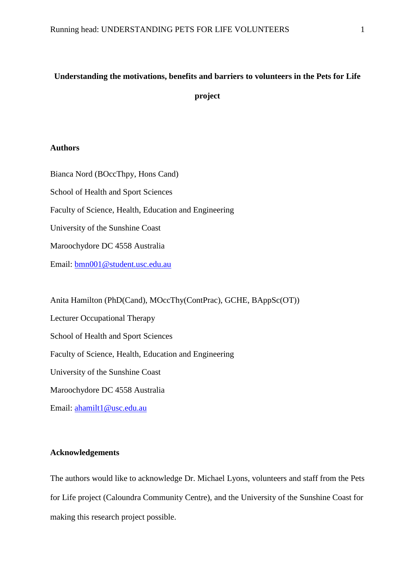# **Understanding the motivations, benefits and barriers to volunteers in the Pets for Life project**

# **Authors**

Bianca Nord (BOccThpy, Hons Cand) School of Health and Sport Sciences Faculty of Science, Health, Education and Engineering University of the Sunshine Coast Maroochydore DC 4558 Australia Email: [bmn001@student.usc.edu.au](mailto:bmn001@student.usc.edu.au)

Anita Hamilton (PhD(Cand), MOccThy(ContPrac), GCHE, BAppSc(OT)) Lecturer Occupational Therapy School of Health and Sport Sciences Faculty of Science, Health, Education and Engineering University of the Sunshine Coast Maroochydore DC 4558 Australia Email: [ahamilt1@usc.edu.au](mailto:ahamilt1@usc.edu.au)

# **Acknowledgements**

The authors would like to acknowledge Dr. Michael Lyons, volunteers and staff from the Pets for Life project (Caloundra Community Centre), and the University of the Sunshine Coast for making this research project possible.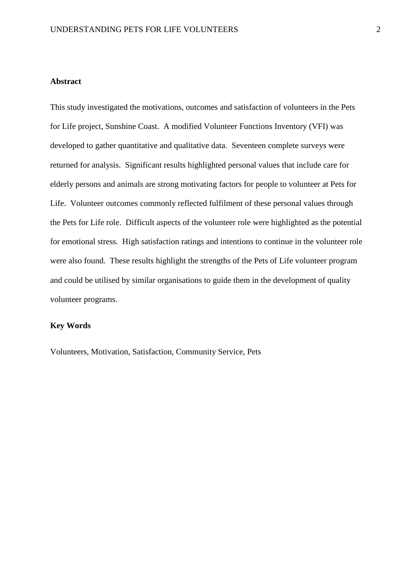# **Abstract**

This study investigated the motivations, outcomes and satisfaction of volunteers in the Pets for Life project, Sunshine Coast. A modified Volunteer Functions Inventory (VFI) was developed to gather quantitative and qualitative data. Seventeen complete surveys were returned for analysis. Significant results highlighted personal values that include care for elderly persons and animals are strong motivating factors for people to volunteer at Pets for Life. Volunteer outcomes commonly reflected fulfilment of these personal values through the Pets for Life role. Difficult aspects of the volunteer role were highlighted as the potential for emotional stress. High satisfaction ratings and intentions to continue in the volunteer role were also found. These results highlight the strengths of the Pets of Life volunteer program and could be utilised by similar organisations to guide them in the development of quality volunteer programs.

# **Key Words**

Volunteers, Motivation, Satisfaction, Community Service, Pets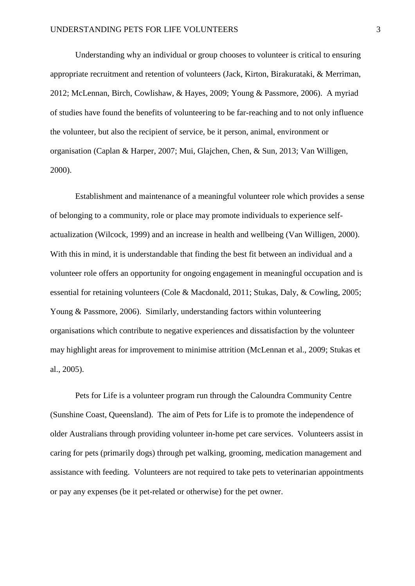Understanding why an individual or group chooses to volunteer is critical to ensuring appropriate recruitment and retention of volunteers [\(Jack, Kirton, Birakurataki, & Merriman,](#page-24-0)  [2012;](#page-24-0) [McLennan, Birch, Cowlishaw, & Hayes, 2009;](#page-24-1) [Young & Passmore, 2006\)](#page-25-0). A myriad of studies have found the benefits of volunteering to be far-reaching and to not only influence the volunteer, but also the recipient of service, be it person, animal, environment or organisation [\(Caplan & Harper, 2007;](#page-23-0) [Mui, Glajchen, Chen, & Sun, 2013;](#page-25-1) [Van Willigen,](#page-25-2)  [2000\)](#page-25-2).

Establishment and maintenance of a meaningful volunteer role which provides a sense of belonging to a community, role or place may promote individuals to experience selfactualization [\(Wilcock, 1999\)](#page-25-3) and an increase in health and wellbeing [\(Van Willigen, 2000\)](#page-25-2). With this in mind, it is understandable that finding the best fit between an individual and a volunteer role offers an opportunity for ongoing engagement in meaningful occupation and is essential for retaining volunteers [\(Cole & Macdonald, 2011;](#page-24-2) [Stukas, Daly, & Cowling, 2005;](#page-25-4) [Young & Passmore, 2006\)](#page-25-0). Similarly, understanding factors within volunteering organisations which contribute to negative experiences and dissatisfaction by the volunteer may highlight areas for improvement to minimise attrition [\(McLennan et al., 2009;](#page-24-1) [Stukas et](#page-25-4)  [al., 2005\)](#page-25-4).

Pets for Life is a volunteer program run through the Caloundra Community Centre (Sunshine Coast, Queensland). The aim of Pets for Life is to promote the independence of older Australians through providing volunteer in-home pet care services. Volunteers assist in caring for pets (primarily dogs) through pet walking, grooming, medication management and assistance with feeding. Volunteers are not required to take pets to veterinarian appointments or pay any expenses (be it pet-related or otherwise) for the pet owner.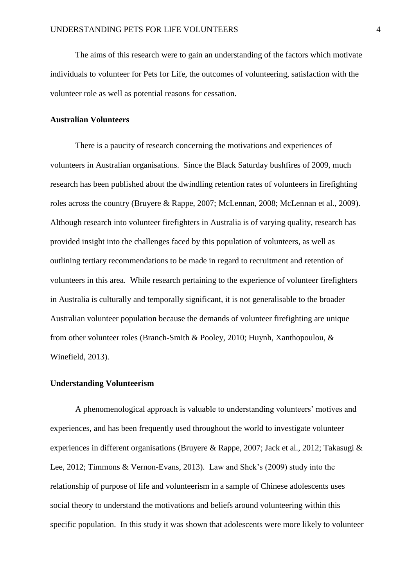The aims of this research were to gain an understanding of the factors which motivate individuals to volunteer for Pets for Life, the outcomes of volunteering, satisfaction with the volunteer role as well as potential reasons for cessation.

# **Australian Volunteers**

There is a paucity of research concerning the motivations and experiences of volunteers in Australian organisations. Since the Black Saturday bushfires of 2009, much research has been published about the dwindling retention rates of volunteers in firefighting roles across the country [\(Bruyere & Rappe, 2007;](#page-23-1) [McLennan, 2008;](#page-24-3) [McLennan et al., 2009\)](#page-24-1). Although research into volunteer firefighters in Australia is of varying quality, research has provided insight into the challenges faced by this population of volunteers, as well as outlining tertiary recommendations to be made in regard to recruitment and retention of volunteers in this area. While research pertaining to the experience of volunteer firefighters in Australia is culturally and temporally significant, it is not generalisable to the broader Australian volunteer population because the demands of volunteer firefighting are unique from other volunteer roles [\(Branch-Smith & Pooley, 2010;](#page-23-2) [Huynh, Xanthopoulou, &](#page-24-4)  [Winefield, 2013\)](#page-24-4).

#### **Understanding Volunteerism**

A phenomenological approach is valuable to understanding volunteers' motives and experiences, and has been frequently used throughout the world to investigate volunteer experiences in different organisations [\(Bruyere & Rappe, 2007;](#page-23-1) [Jack et al., 2012;](#page-24-0) [Takasugi &](#page-25-5)  [Lee, 2012;](#page-25-5) [Timmons & Vernon-Evans, 2013\)](#page-25-6). Law and Shek's (2009) study into the relationship of purpose of life and volunteerism in a sample of Chinese adolescents uses social theory to understand the motivations and beliefs around volunteering within this specific population. In this study it was shown that adolescents were more likely to volunteer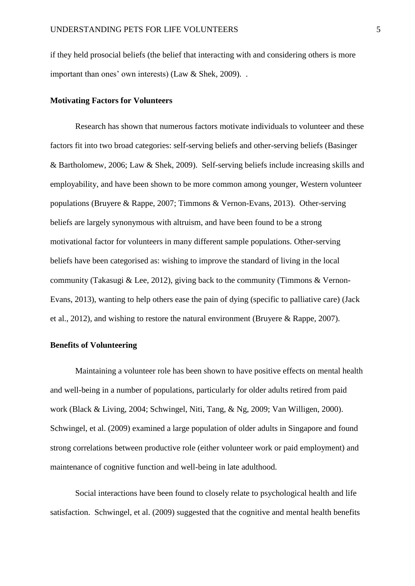if they held prosocial beliefs (the belief that interacting with and considering others is more important than ones' own interests) [\(Law & Shek, 2009\)](#page-24-5). .

#### **Motivating Factors for Volunteers**

Research has shown that numerous factors motivate individuals to volunteer and these factors fit into two broad categories: self-serving beliefs and other-serving beliefs [\(Basinger](#page-23-3)  [& Bartholomew, 2006;](#page-23-3) [Law & Shek, 2009\)](#page-24-5). Self-serving beliefs include increasing skills and employability, and have been shown to be more common among younger, Western volunteer populations [\(Bruyere & Rappe, 2007;](#page-23-1) [Timmons & Vernon-Evans, 2013\)](#page-25-6). Other-serving beliefs are largely synonymous with altruism, and have been found to be a strong motivational factor for volunteers in many different sample populations. Other-serving beliefs have been categorised as: wishing to improve the standard of living in the local community [\(Takasugi & Lee, 2012\)](#page-25-5), giving back to the community [\(Timmons & Vernon-](#page-25-6)[Evans, 2013\)](#page-25-6), wanting to help others ease the pain of dying (specific to palliative care) [\(Jack](#page-24-0)  [et al., 2012\)](#page-24-0), and wishing to restore the natural environment [\(Bruyere & Rappe, 2007\)](#page-23-1).

#### **Benefits of Volunteering**

Maintaining a volunteer role has been shown to have positive effects on mental health and well-being in a number of populations, particularly for older adults retired from paid work [\(Black & Living, 2004;](#page-23-4) [Schwingel, Niti, Tang, & Ng, 2009;](#page-25-7) [Van Willigen, 2000\)](#page-25-2). Schwingel, et al. (2009) examined a large population of older adults in Singapore and found strong correlations between productive role (either volunteer work or paid employment) and maintenance of cognitive function and well-being in late adulthood.

Social interactions have been found to closely relate to psychological health and life satisfaction. Schwingel, et al. (2009) suggested that the cognitive and mental health benefits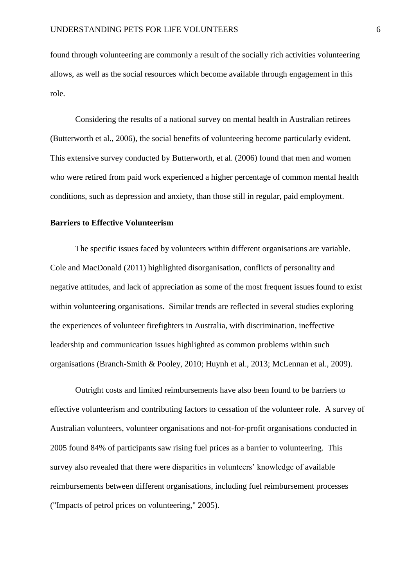found through volunteering are commonly a result of the socially rich activities volunteering allows, as well as the social resources which become available through engagement in this role.

Considering the results of a national survey on mental health in Australian retirees [\(Butterworth et al., 2006\)](#page-23-5), the social benefits of volunteering become particularly evident. This extensive survey conducted by Butterworth, et al. (2006) found that men and women who were retired from paid work experienced a higher percentage of common mental health conditions, such as depression and anxiety, than those still in regular, paid employment.

#### **Barriers to Effective Volunteerism**

The specific issues faced by volunteers within different organisations are variable. Cole and MacDonald (2011) highlighted disorganisation, conflicts of personality and negative attitudes, and lack of appreciation as some of the most frequent issues found to exist within volunteering organisations. Similar trends are reflected in several studies exploring the experiences of volunteer firefighters in Australia, with discrimination, ineffective leadership and communication issues highlighted as common problems within such organisations [\(Branch-Smith & Pooley, 2010;](#page-23-2) [Huynh et al., 2013;](#page-24-4) [McLennan et al., 2009\)](#page-24-1).

Outright costs and limited reimbursements have also been found to be barriers to effective volunteerism and contributing factors to cessation of the volunteer role. A survey of Australian volunteers, volunteer organisations and not-for-profit organisations conducted in 2005 found 84% of participants saw rising fuel prices as a barrier to volunteering. This survey also revealed that there were disparities in volunteers' knowledge of available reimbursements between different organisations, including fuel reimbursement processes [\("Impacts of petrol prices on volunteering," 2005\)](#page-24-6).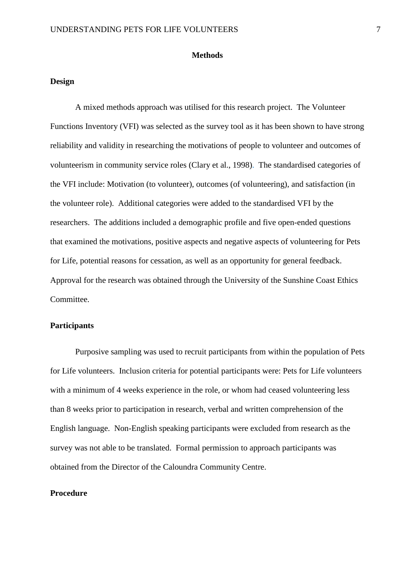#### **Methods**

# **Design**

A mixed methods approach was utilised for this research project. The Volunteer Functions Inventory (VFI) was selected as the survey tool as it has been shown to have strong reliability and validity in researching the motivations of people to volunteer and outcomes of volunteerism in community service roles [\(Clary et al., 1998\)](#page-23-6). The standardised categories of the VFI include: Motivation (to volunteer), outcomes (of volunteering), and satisfaction (in the volunteer role). Additional categories were added to the standardised VFI by the researchers. The additions included a demographic profile and five open-ended questions that examined the motivations, positive aspects and negative aspects of volunteering for Pets for Life, potential reasons for cessation, as well as an opportunity for general feedback. Approval for the research was obtained through the University of the Sunshine Coast Ethics Committee.

#### **Participants**

Purposive sampling was used to recruit participants from within the population of Pets for Life volunteers. Inclusion criteria for potential participants were: Pets for Life volunteers with a minimum of 4 weeks experience in the role, or whom had ceased volunteering less than 8 weeks prior to participation in research, verbal and written comprehension of the English language. Non-English speaking participants were excluded from research as the survey was not able to be translated. Formal permission to approach participants was obtained from the Director of the Caloundra Community Centre.

# **Procedure**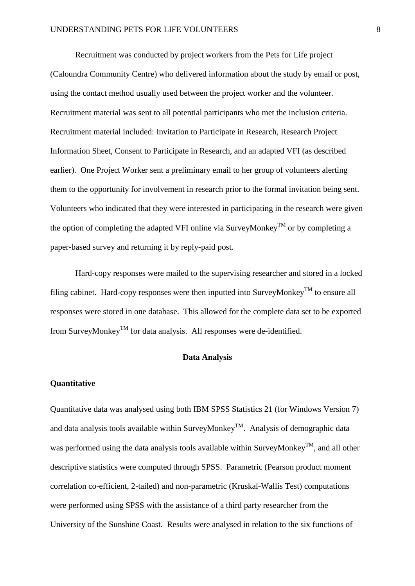Recruitment was conducted by project workers from the Pets for Life project (Caloundra Community Centre) who delivered information about the study by email or post, using the contact method usually used between the project worker and the volunteer. Recruitment material was sent to all potential participants who met the inclusion criteria. Recruitment material included: Invitation to Participate in Research, Research Project Information Sheet, Consent to Participate in Research, and an adapted VFI (as described earlier). One Project Worker sent a preliminary email to her group of volunteers alerting them to the opportunity for involvement in research prior to the formal invitation being sent. Volunteers who indicated that they were interested in participating in the research were given the option of completing the adapted VFI online via SurveyMonkey<sup>TM</sup> or by completing a paper-based survey and returning it by reply-paid post.

Hard-copy responses were mailed to the supervising researcher and stored in a locked filing cabinet. Hard-copy responses were then inputted into SurveyMonkey<sup>TM</sup> to ensure all responses were stored in one database. This allowed for the complete data set to be exported from SurveyMonkey<sup>TM</sup> for data analysis. All responses were de-identified.

#### **Data Analysis**

#### **Quantitative**

Quantitative data was analysed using both IBM SPSS Statistics 21 (for Windows Version 7) and data analysis tools available within SurveyMonkey<sup>TM</sup>. Analysis of demographic data was performed using the data analysis tools available within SurveyMonkey<sup>TM</sup>, and all other descriptive statistics were computed through SPSS. Parametric (Pearson product moment correlation co-efficient, 2-tailed) and non-parametric (Kruskal-Wallis Test) computations were performed using SPSS with the assistance of a third party researcher from the University of the Sunshine Coast. Results were analysed in relation to the six functions of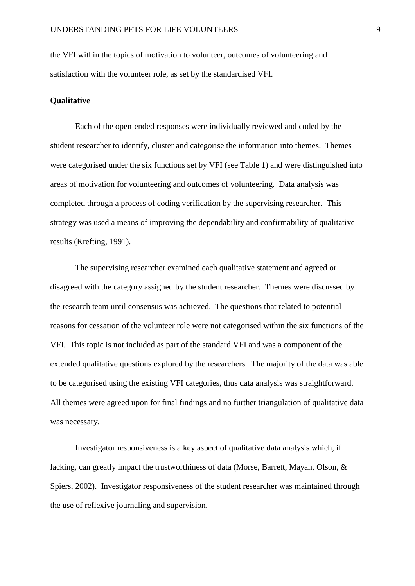the VFI within the topics of motivation to volunteer, outcomes of volunteering and satisfaction with the volunteer role, as set by the standardised VFI.

#### **Qualitative**

Each of the open-ended responses were individually reviewed and coded by the student researcher to identify, cluster and categorise the information into themes. Themes were categorised under the six functions set by VFI (see Table 1) and were distinguished into areas of motivation for volunteering and outcomes of volunteering. Data analysis was completed through a process of coding verification by the supervising researcher. This strategy was used a means of improving the dependability and confirmability of qualitative results [\(Krefting, 1991\)](#page-24-7).

The supervising researcher examined each qualitative statement and agreed or disagreed with the category assigned by the student researcher. Themes were discussed by the research team until consensus was achieved. The questions that related to potential reasons for cessation of the volunteer role were not categorised within the six functions of the VFI. This topic is not included as part of the standard VFI and was a component of the extended qualitative questions explored by the researchers. The majority of the data was able to be categorised using the existing VFI categories, thus data analysis was straightforward. All themes were agreed upon for final findings and no further triangulation of qualitative data was necessary.

Investigator responsiveness is a key aspect of qualitative data analysis which, if lacking, can greatly impact the trustworthiness of data [\(Morse, Barrett, Mayan, Olson, &](#page-24-8)  [Spiers, 2002\)](#page-24-8). Investigator responsiveness of the student researcher was maintained through the use of reflexive journaling and supervision.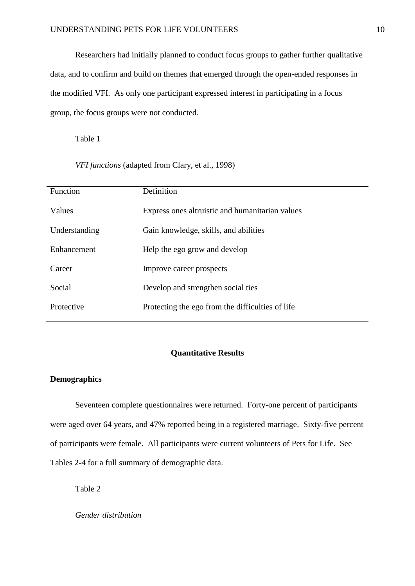Researchers had initially planned to conduct focus groups to gather further qualitative data, and to confirm and build on themes that emerged through the open-ended responses in the modified VFI. As only one participant expressed interest in participating in a focus group, the focus groups were not conducted.

Table 1

*VFI functions* (adapted from Clary, et al., 1998)

| Function      | Definition                                       |
|---------------|--------------------------------------------------|
| Values        | Express ones altruistic and humanitarian values  |
| Understanding | Gain knowledge, skills, and abilities            |
| Enhancement   | Help the ego grow and develop                    |
| Career        | Improve career prospects                         |
| Social        | Develop and strengthen social ties               |
| Protective    | Protecting the ego from the difficulties of life |

#### **Quantitative Results**

# **Demographics**

Seventeen complete questionnaires were returned. Forty-one percent of participants were aged over 64 years, and 47% reported being in a registered marriage. Sixty-five percent of participants were female. All participants were current volunteers of Pets for Life. See Tables 2-4 for a full summary of demographic data.

Table 2

*Gender distribution*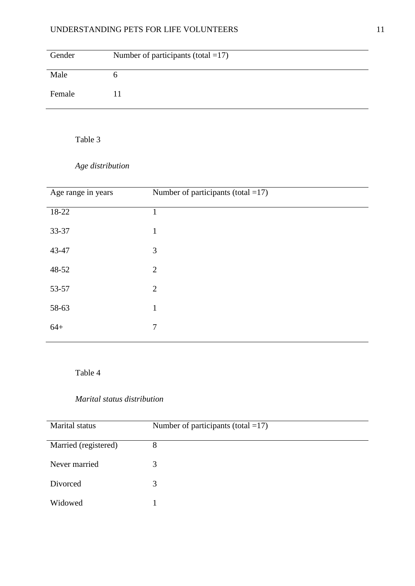| Gender | Number of participants (total $=17$ ) |
|--------|---------------------------------------|
| Male   |                                       |
| Female |                                       |

Table 3

*Age distribution*

| Age range in years | Number of participants (total $=17$ ) |
|--------------------|---------------------------------------|
| 18-22              | 1                                     |
| 33-37              | $\mathbf{1}$                          |
| 43-47              | 3                                     |
| 48-52              | 2                                     |
| 53-57              | $\overline{2}$                        |
| 58-63              | $\mathbf{1}$                          |
| $64+$              | $\overline{7}$                        |

Table 4

# *Marital status distribution*

| <b>Marital</b> status | Number of participants (total $=17$ ) |
|-----------------------|---------------------------------------|
| Married (registered)  | 8                                     |
| Never married         | 3                                     |
| Divorced              | 3                                     |
| Widowed               |                                       |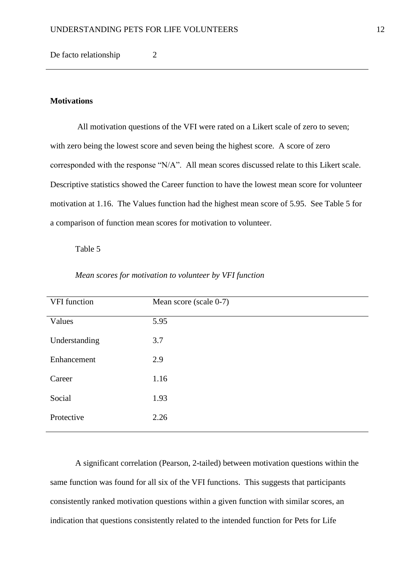De facto relationship 2

# **Motivations**

All motivation questions of the VFI were rated on a Likert scale of zero to seven; with zero being the lowest score and seven being the highest score. A score of zero corresponded with the response "N/A". All mean scores discussed relate to this Likert scale. Descriptive statistics showed the Career function to have the lowest mean score for volunteer motivation at 1.16. The Values function had the highest mean score of 5.95. See Table 5 for a comparison of function mean scores for motivation to volunteer.

# Table 5

| VFI function  | Mean score (scale 0-7) |
|---------------|------------------------|
| Values        | 5.95                   |
| Understanding | 3.7                    |
| Enhancement   | 2.9                    |
| Career        | 1.16                   |
| Social        | 1.93                   |
| Protective    | 2.26                   |
|               |                        |

*Mean scores for motivation to volunteer by VFI function*

A significant correlation (Pearson, 2-tailed) between motivation questions within the same function was found for all six of the VFI functions. This suggests that participants consistently ranked motivation questions within a given function with similar scores, an indication that questions consistently related to the intended function for Pets for Life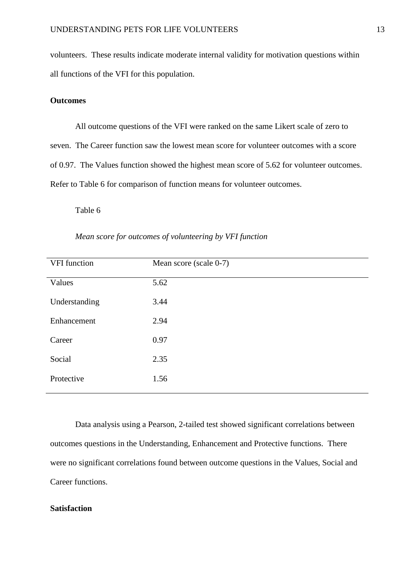volunteers. These results indicate moderate internal validity for motivation questions within all functions of the VFI for this population.

# **Outcomes**

All outcome questions of the VFI were ranked on the same Likert scale of zero to seven. The Career function saw the lowest mean score for volunteer outcomes with a score of 0.97. The Values function showed the highest mean score of 5.62 for volunteer outcomes. Refer to Table 6 for comparison of function means for volunteer outcomes.

Table 6

| VFI function  | Mean score (scale 0-7) |
|---------------|------------------------|
| Values        | 5.62                   |
| Understanding | 3.44                   |
| Enhancement   | 2.94                   |
| Career        | 0.97                   |
| Social        | 2.35                   |
| Protective    | 1.56                   |

*Mean score for outcomes of volunteering by VFI function*

Data analysis using a Pearson, 2-tailed test showed significant correlations between outcomes questions in the Understanding, Enhancement and Protective functions. There were no significant correlations found between outcome questions in the Values, Social and Career functions.

# **Satisfaction**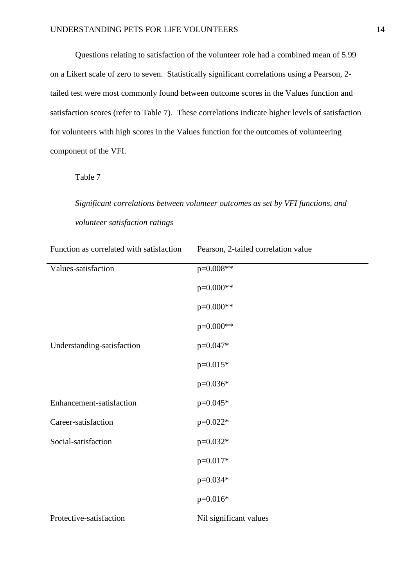Questions relating to satisfaction of the volunteer role had a combined mean of 5.99 on a Likert scale of zero to seven. Statistically significant correlations using a Pearson, 2 tailed test were most commonly found between outcome scores in the Values function and satisfaction scores (refer to Table 7). These correlations indicate higher levels of satisfaction for volunteers with high scores in the Values function for the outcomes of volunteering component of the VFI.

Table 7

*Significant correlations between volunteer outcomes as set by VFI functions, and volunteer satisfaction ratings*

| Function as correlated with satisfaction | Pearson, 2-tailed correlation value |
|------------------------------------------|-------------------------------------|
| Values-satisfaction                      | p=0.008**                           |
|                                          | p=0.000**                           |
|                                          | p=0.000**                           |
|                                          | p=0.000**                           |
| Understanding-satisfaction               | $p=0.047*$                          |
|                                          | $p=0.015*$                          |
|                                          | $p=0.036*$                          |
| Enhancement-satisfaction                 | $p=0.045*$                          |
| Career-satisfaction                      | $p=0.022*$                          |
| Social-satisfaction                      | $p=0.032*$                          |
|                                          | $p=0.017*$                          |
|                                          | $p=0.034*$                          |
|                                          | $p=0.016*$                          |
| Protective-satisfaction                  | Nil significant values              |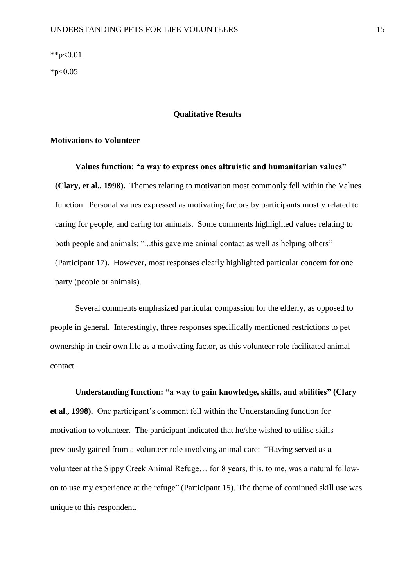\*\*p< $0.01$ 

 $*p<0.05$ 

#### **Qualitative Results**

# **Motivations to Volunteer**

**Values function: "a way to express ones altruistic and humanitarian values" (Clary, et al., 1998).**Themes relating to motivation most commonly fell within the Values function. Personal values expressed as motivating factors by participants mostly related to caring for people, and caring for animals. Some comments highlighted values relating to both people and animals: "...this gave me animal contact as well as helping others" (Participant 17). However, most responses clearly highlighted particular concern for one party (people or animals).

Several comments emphasized particular compassion for the elderly, as opposed to people in general. Interestingly, three responses specifically mentioned restrictions to pet ownership in their own life as a motivating factor, as this volunteer role facilitated animal contact.

**Understanding function: "a way to gain knowledge, skills, and abilities" [\(Clary](#page-23-6)  [et al., 1998\)](#page-23-6).**One participant's comment fell within the Understanding function for motivation to volunteer. The participant indicated that he/she wished to utilise skills previously gained from a volunteer role involving animal care: "Having served as a volunteer at the Sippy Creek Animal Refuge… for 8 years, this, to me, was a natural followon to use my experience at the refuge" (Participant 15). The theme of continued skill use was unique to this respondent.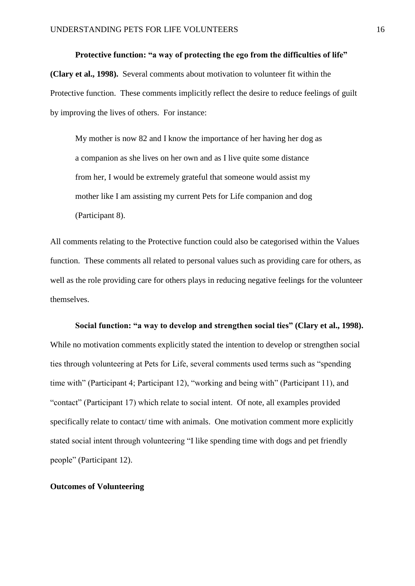**Protective function: "a way of protecting the ego from the difficulties of life" [\(Clary et al., 1998\)](#page-23-6).**Several comments about motivation to volunteer fit within the Protective function. These comments implicitly reflect the desire to reduce feelings of guilt by improving the lives of others. For instance:

My mother is now 82 and I know the importance of her having her dog as a companion as she lives on her own and as I live quite some distance from her, I would be extremely grateful that someone would assist my mother like I am assisting my current Pets for Life companion and dog (Participant 8).

All comments relating to the Protective function could also be categorised within the Values function. These comments all related to personal values such as providing care for others, as well as the role providing care for others plays in reducing negative feelings for the volunteer themselves.

# **Social function: "a way to develop and strengthen social ties" [\(Clary et al., 1998\)](#page-23-6).** While no motivation comments explicitly stated the intention to develop or strengthen social ties through volunteering at Pets for Life, several comments used terms such as "spending time with" (Participant 4; Participant 12), "working and being with" (Participant 11), and "contact" (Participant 17) which relate to social intent. Of note, all examples provided specifically relate to contact/ time with animals. One motivation comment more explicitly stated social intent through volunteering "I like spending time with dogs and pet friendly people" (Participant 12).

# **Outcomes of Volunteering**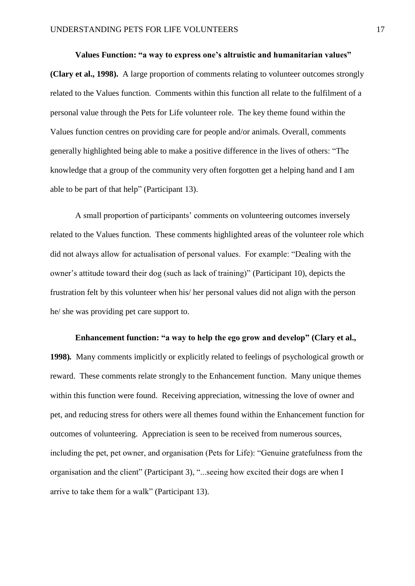**Values Function: "a way to express one's altruistic and humanitarian values" [\(Clary et al., 1998\)](#page-23-6).**A large proportion of comments relating to volunteer outcomes strongly related to the Values function. Comments within this function all relate to the fulfilment of a personal value through the Pets for Life volunteer role. The key theme found within the Values function centres on providing care for people and/or animals. Overall, comments generally highlighted being able to make a positive difference in the lives of others: "The knowledge that a group of the community very often forgotten get a helping hand and I am able to be part of that help" (Participant 13).

A small proportion of participants' comments on volunteering outcomes inversely related to the Values function. These comments highlighted areas of the volunteer role which did not always allow for actualisation of personal values. For example: "Dealing with the owner's attitude toward their dog (such as lack of training)" (Participant 10), depicts the frustration felt by this volunteer when his/ her personal values did not align with the person he/ she was providing pet care support to.

**Enhancement function: "a way to help the ego grow and develop" [\(Clary et al.,](#page-23-6)  [1998\)](#page-23-6)***.* Many comments implicitly or explicitly related to feelings of psychological growth or reward. These comments relate strongly to the Enhancement function. Many unique themes within this function were found. Receiving appreciation, witnessing the love of owner and pet, and reducing stress for others were all themes found within the Enhancement function for outcomes of volunteering. Appreciation is seen to be received from numerous sources, including the pet, pet owner, and organisation (Pets for Life): "Genuine gratefulness from the organisation and the client" (Participant 3), "...seeing how excited their dogs are when I arrive to take them for a walk" (Participant 13).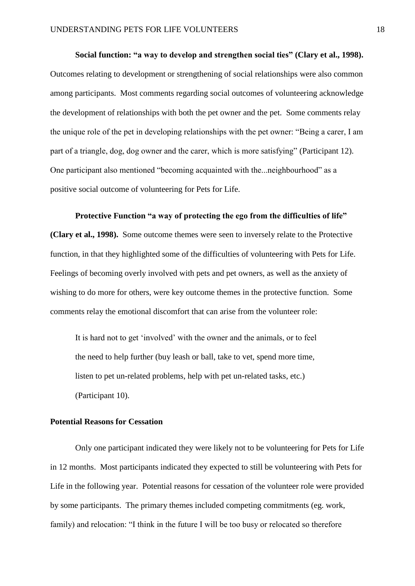**Social function: "a way to develop and strengthen social ties" [\(Clary et al., 1998\)](#page-23-6).** Outcomes relating to development or strengthening of social relationships were also common among participants. Most comments regarding social outcomes of volunteering acknowledge the development of relationships with both the pet owner and the pet. Some comments relay the unique role of the pet in developing relationships with the pet owner: "Being a carer, I am part of a triangle, dog, dog owner and the carer, which is more satisfying" (Participant 12). One participant also mentioned "becoming acquainted with the...neighbourhood" as a positive social outcome of volunteering for Pets for Life.

**Protective Function "a way of protecting the ego from the difficulties of life" [\(Clary et al., 1998\)](#page-23-6).**Some outcome themes were seen to inversely relate to the Protective function, in that they highlighted some of the difficulties of volunteering with Pets for Life. Feelings of becoming overly involved with pets and pet owners, as well as the anxiety of wishing to do more for others, were key outcome themes in the protective function.Some comments relay the emotional discomfort that can arise from the volunteer role:

It is hard not to get 'involved' with the owner and the animals, or to feel the need to help further (buy leash or ball, take to vet, spend more time, listen to pet un-related problems, help with pet un-related tasks, etc.) (Participant 10).

#### **Potential Reasons for Cessation**

Only one participant indicated they were likely not to be volunteering for Pets for Life in 12 months. Most participants indicated they expected to still be volunteering with Pets for Life in the following year. Potential reasons for cessation of the volunteer role were provided by some participants. The primary themes included competing commitments (eg. work, family) and relocation: "I think in the future I will be too busy or relocated so therefore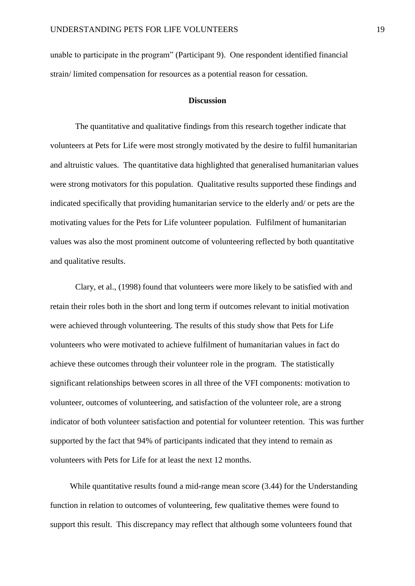unable to participate in the program" (Participant 9). One respondent identified financial strain/ limited compensation for resources as a potential reason for cessation.

# **Discussion**

The quantitative and qualitative findings from this research together indicate that volunteers at Pets for Life were most strongly motivated by the desire to fulfil humanitarian and altruistic values. The quantitative data highlighted that generalised humanitarian values were strong motivators for this population. Qualitative results supported these findings and indicated specifically that providing humanitarian service to the elderly and/ or pets are the motivating values for the Pets for Life volunteer population. Fulfilment of humanitarian values was also the most prominent outcome of volunteering reflected by both quantitative and qualitative results.

Clary, et al., (1998) found that volunteers were more likely to be satisfied with and retain their roles both in the short and long term if outcomes relevant to initial motivation were achieved through volunteering. The results of this study show that Pets for Life volunteers who were motivated to achieve fulfilment of humanitarian values in fact do achieve these outcomes through their volunteer role in the program. The statistically significant relationships between scores in all three of the VFI components: motivation to volunteer, outcomes of volunteering, and satisfaction of the volunteer role, are a strong indicator of both volunteer satisfaction and potential for volunteer retention. This was further supported by the fact that 94% of participants indicated that they intend to remain as volunteers with Pets for Life for at least the next 12 months.

While quantitative results found a mid-range mean score (3.44) for the Understanding function in relation to outcomes of volunteering, few qualitative themes were found to support this result. This discrepancy may reflect that although some volunteers found that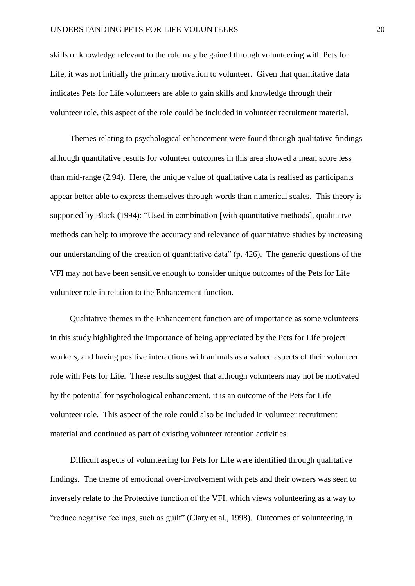skills or knowledge relevant to the role may be gained through volunteering with Pets for Life, it was not initially the primary motivation to volunteer. Given that quantitative data indicates Pets for Life volunteers are able to gain skills and knowledge through their volunteer role, this aspect of the role could be included in volunteer recruitment material.

Themes relating to psychological enhancement were found through qualitative findings although quantitative results for volunteer outcomes in this area showed a mean score less than mid-range (2.94). Here, the unique value of qualitative data is realised as participants appear better able to express themselves through words than numerical scales. This theory is supported by Black (1994): "Used in combination [with quantitative methods], qualitative methods can help to improve the accuracy and relevance of quantitative studies by increasing our understanding of the creation of quantitative data" (p. 426). The generic questions of the VFI may not have been sensitive enough to consider unique outcomes of the Pets for Life volunteer role in relation to the Enhancement function.

Qualitative themes in the Enhancement function are of importance as some volunteers in this study highlighted the importance of being appreciated by the Pets for Life project workers, and having positive interactions with animals as a valued aspects of their volunteer role with Pets for Life. These results suggest that although volunteers may not be motivated by the potential for psychological enhancement, it is an outcome of the Pets for Life volunteer role. This aspect of the role could also be included in volunteer recruitment material and continued as part of existing volunteer retention activities.

Difficult aspects of volunteering for Pets for Life were identified through qualitative findings. The theme of emotional over-involvement with pets and their owners was seen to inversely relate to the Protective function of the VFI, which views volunteering as a way to "reduce negative feelings, such as guilt" [\(Clary et al., 1998\)](#page-23-6). Outcomes of volunteering in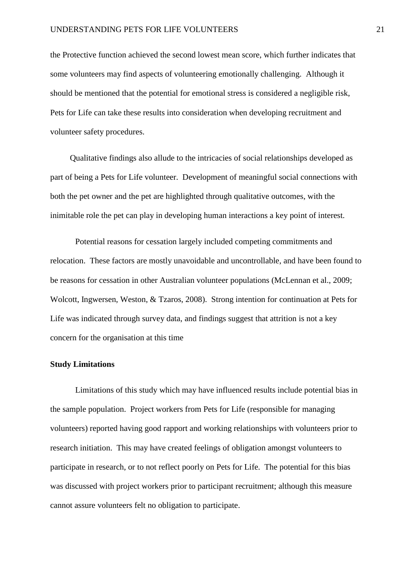the Protective function achieved the second lowest mean score, which further indicates that some volunteers may find aspects of volunteering emotionally challenging. Although it should be mentioned that the potential for emotional stress is considered a negligible risk, Pets for Life can take these results into consideration when developing recruitment and volunteer safety procedures.

Qualitative findings also allude to the intricacies of social relationships developed as part of being a Pets for Life volunteer. Development of meaningful social connections with both the pet owner and the pet are highlighted through qualitative outcomes, with the inimitable role the pet can play in developing human interactions a key point of interest.

Potential reasons for cessation largely included competing commitments and relocation. These factors are mostly unavoidable and uncontrollable, and have been found to be reasons for cessation in other Australian volunteer populations [\(McLennan et al., 2009;](#page-24-1) [Wolcott, Ingwersen, Weston, & Tzaros, 2008\)](#page-25-8). Strong intention for continuation at Pets for Life was indicated through survey data, and findings suggest that attrition is not a key concern for the organisation at this time

# **Study Limitations**

Limitations of this study which may have influenced results include potential bias in the sample population. Project workers from Pets for Life (responsible for managing volunteers) reported having good rapport and working relationships with volunteers prior to research initiation. This may have created feelings of obligation amongst volunteers to participate in research, or to not reflect poorly on Pets for Life. The potential for this bias was discussed with project workers prior to participant recruitment; although this measure cannot assure volunteers felt no obligation to participate.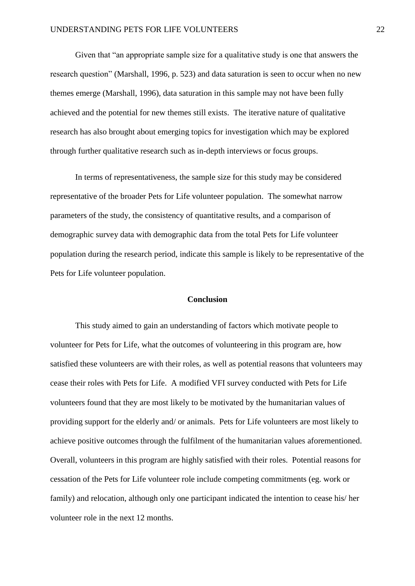Given that "an appropriate sample size for a qualitative study is one that answers the research question" (Marshall, 1996, p. 523) and data saturation is seen to occur when no new themes emerge [\(Marshall, 1996\)](#page-24-9), data saturation in this sample may not have been fully achieved and the potential for new themes still exists. The iterative nature of qualitative research has also brought about emerging topics for investigation which may be explored through further qualitative research such as in-depth interviews or focus groups.

In terms of representativeness, the sample size for this study may be considered representative of the broader Pets for Life volunteer population. The somewhat narrow parameters of the study, the consistency of quantitative results, and a comparison of demographic survey data with demographic data from the total Pets for Life volunteer population during the research period, indicate this sample is likely to be representative of the Pets for Life volunteer population.

#### **Conclusion**

This study aimed to gain an understanding of factors which motivate people to volunteer for Pets for Life, what the outcomes of volunteering in this program are, how satisfied these volunteers are with their roles, as well as potential reasons that volunteers may cease their roles with Pets for Life. A modified VFI survey conducted with Pets for Life volunteers found that they are most likely to be motivated by the humanitarian values of providing support for the elderly and/ or animals. Pets for Life volunteers are most likely to achieve positive outcomes through the fulfilment of the humanitarian values aforementioned. Overall, volunteers in this program are highly satisfied with their roles. Potential reasons for cessation of the Pets for Life volunteer role include competing commitments (eg. work or family) and relocation, although only one participant indicated the intention to cease his/ her volunteer role in the next 12 months.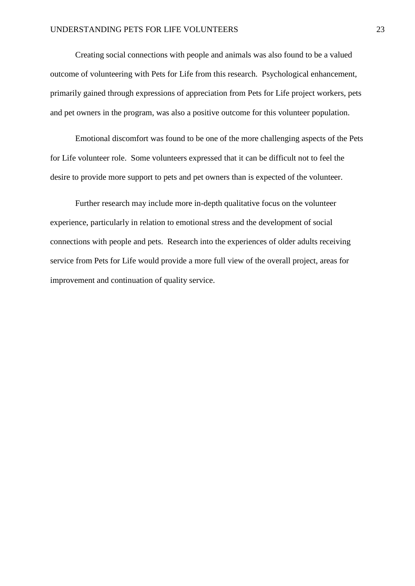Creating social connections with people and animals was also found to be a valued outcome of volunteering with Pets for Life from this research. Psychological enhancement, primarily gained through expressions of appreciation from Pets for Life project workers, pets and pet owners in the program, was also a positive outcome for this volunteer population.

Emotional discomfort was found to be one of the more challenging aspects of the Pets for Life volunteer role. Some volunteers expressed that it can be difficult not to feel the desire to provide more support to pets and pet owners than is expected of the volunteer.

Further research may include more in-depth qualitative focus on the volunteer experience, particularly in relation to emotional stress and the development of social connections with people and pets. Research into the experiences of older adults receiving service from Pets for Life would provide a more full view of the overall project, areas for improvement and continuation of quality service.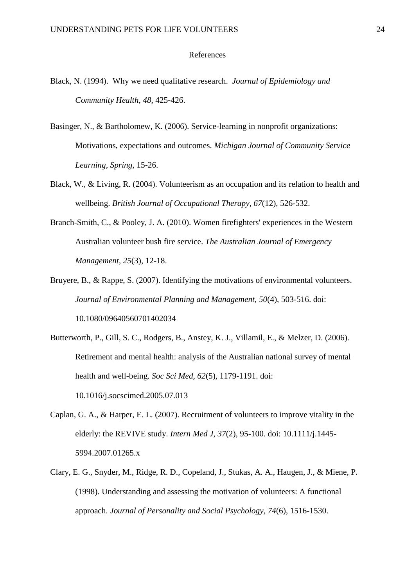#### References

- Black, N. (1994). Why we need qualitative research. *Journal of Epidemiology and Community Health*, *48*, 425-426.
- <span id="page-23-3"></span>Basinger, N., & Bartholomew, K. (2006). Service-learning in nonprofit organizations: Motivations, expectations and outcomes. *Michigan Journal of Community Service Learning, Spring*, 15-26.
- <span id="page-23-4"></span>Black, W., & Living, R. (2004). Volunteerism as an occupation and its relation to health and wellbeing. *British Journal of Occupational Therapy, 67*(12), 526-532.
- <span id="page-23-2"></span>Branch-Smith, C., & Pooley, J. A. (2010). Women firefighters' experiences in the Western Australian volunteer bush fire service. *The Australian Journal of Emergency Management, 25*(3), 12-18.
- <span id="page-23-1"></span>Bruyere, B., & Rappe, S. (2007). Identifying the motivations of environmental volunteers. *Journal of Environmental Planning and Management, 50*(4), 503-516. doi: 10.1080/09640560701402034
- <span id="page-23-5"></span>Butterworth, P., Gill, S. C., Rodgers, B., Anstey, K. J., Villamil, E., & Melzer, D. (2006). Retirement and mental health: analysis of the Australian national survey of mental health and well-being. *Soc Sci Med, 62*(5), 1179-1191. doi: 10.1016/j.socscimed.2005.07.013
- <span id="page-23-0"></span>Caplan, G. A., & Harper, E. L. (2007). Recruitment of volunteers to improve vitality in the elderly: the REVIVE study. *Intern Med J, 37*(2), 95-100. doi: 10.1111/j.1445- 5994.2007.01265.x
- <span id="page-23-6"></span>Clary, E. G., Snyder, M., Ridge, R. D., Copeland, J., Stukas, A. A., Haugen, J., & Miene, P. (1998). Understanding and assessing the motivation of volunteers: A functional approach. *Journal of Personality and Social Psychology, 74*(6), 1516-1530.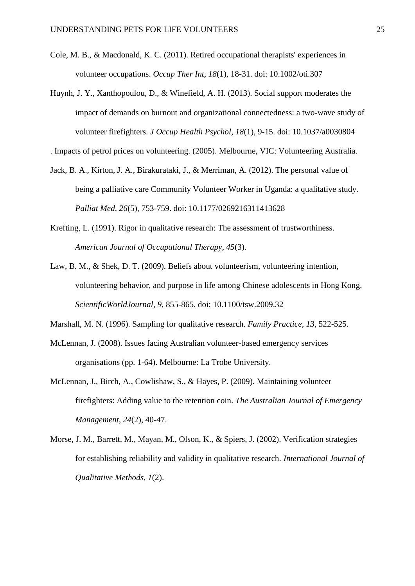- <span id="page-24-2"></span>Cole, M. B., & Macdonald, K. C. (2011). Retired occupational therapists' experiences in volunteer occupations. *Occup Ther Int, 18*(1), 18-31. doi: 10.1002/oti.307
- <span id="page-24-4"></span>Huynh, J. Y., Xanthopoulou, D., & Winefield, A. H. (2013). Social support moderates the impact of demands on burnout and organizational connectedness: a two-wave study of volunteer firefighters. *J Occup Health Psychol, 18*(1), 9-15. doi: 10.1037/a0030804

<span id="page-24-6"></span>. Impacts of petrol prices on volunteering. (2005). Melbourne, VIC: Volunteering Australia.

- <span id="page-24-0"></span>Jack, B. A., Kirton, J. A., Birakurataki, J., & Merriman, A. (2012). The personal value of being a palliative care Community Volunteer Worker in Uganda: a qualitative study. *Palliat Med, 26*(5), 753-759. doi: 10.1177/0269216311413628
- <span id="page-24-7"></span>Krefting, L. (1991). Rigor in qualitative research: The assessment of trustworthiness. *American Journal of Occupational Therapy, 45*(3).
- <span id="page-24-5"></span>Law, B. M., & Shek, D. T. (2009). Beliefs about volunteerism, volunteering intention, volunteering behavior, and purpose in life among Chinese adolescents in Hong Kong. *ScientificWorldJournal, 9*, 855-865. doi: 10.1100/tsw.2009.32

<span id="page-24-9"></span>Marshall, M. N. (1996). Sampling for qualitative research. *Family Practice, 13*, 522-525.

- <span id="page-24-3"></span>McLennan, J. (2008). Issues facing Australian volunteer-based emergency services organisations (pp. 1-64). Melbourne: La Trobe University.
- <span id="page-24-1"></span>McLennan, J., Birch, A., Cowlishaw, S., & Hayes, P. (2009). Maintaining volunteer firefighters: Adding value to the retention coin. *The Australian Journal of Emergency Management, 24*(2), 40-47.
- <span id="page-24-8"></span>Morse, J. M., Barrett, M., Mayan, M., Olson, K., & Spiers, J. (2002). Verification strategies for establishing reliability and validity in qualitative research. *International Journal of Qualitative Methods, 1*(2).